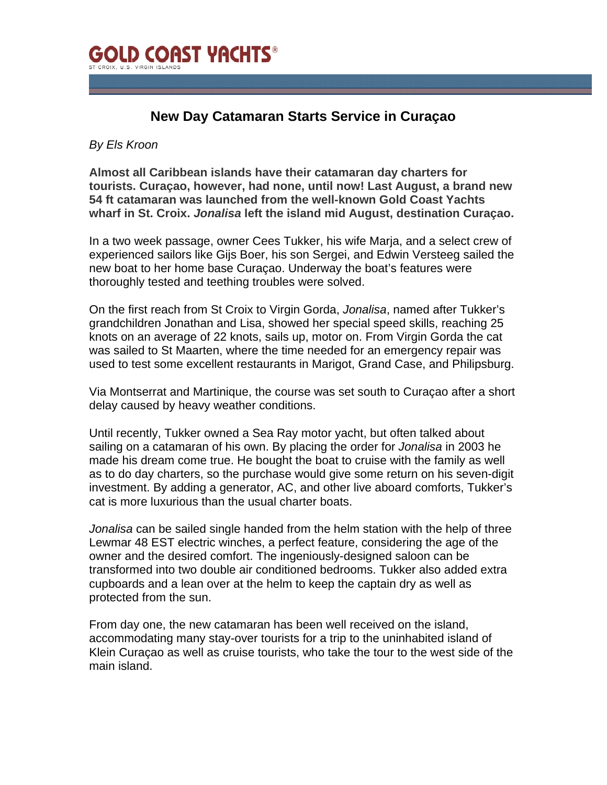

## **New Day Catamaran Starts Service in Curaçao**

## *By Els Kroon*

**Almost all Caribbean islands have their catamaran day charters for tourists. Curaçao, however, had none, until now! Last August, a brand new 54 ft catamaran was launched from the well-known Gold Coast Yachts wharf in St. Croix.** *Jonalisa* **left the island mid August, destination Curaçao.** 

In a two week passage, owner Cees Tukker, his wife Marja, and a select crew of experienced sailors like Gijs Boer, his son Sergei, and Edwin Versteeg sailed the new boat to her home base Curaçao. Underway the boat's features were thoroughly tested and teething troubles were solved.

On the first reach from St Croix to Virgin Gorda, *Jonalisa*, named after Tukker's grandchildren Jonathan and Lisa, showed her special speed skills, reaching 25 knots on an average of 22 knots, sails up, motor on. From Virgin Gorda the cat was sailed to St Maarten, where the time needed for an emergency repair was used to test some excellent restaurants in Marigot, Grand Case, and Philipsburg.

Via Montserrat and Martinique, the course was set south to Curaçao after a short delay caused by heavy weather conditions.

Until recently, Tukker owned a Sea Ray motor yacht, but often talked about sailing on a catamaran of his own. By placing the order for *Jonalisa* in 2003 he made his dream come true. He bought the boat to cruise with the family as well as to do day charters, so the purchase would give some return on his seven-digit investment. By adding a generator, AC, and other live aboard comforts, Tukker's cat is more luxurious than the usual charter boats.

*Jonalisa* can be sailed single handed from the helm station with the help of three Lewmar 48 EST electric winches, a perfect feature, considering the age of the owner and the desired comfort. The ingeniously-designed saloon can be transformed into two double air conditioned bedrooms. Tukker also added extra cupboards and a lean over at the helm to keep the captain dry as well as protected from the sun.

From day one, the new catamaran has been well received on the island, accommodating many stay-over tourists for a trip to the uninhabited island of Klein Curaçao as well as cruise tourists, who take the tour to the west side of the main island.